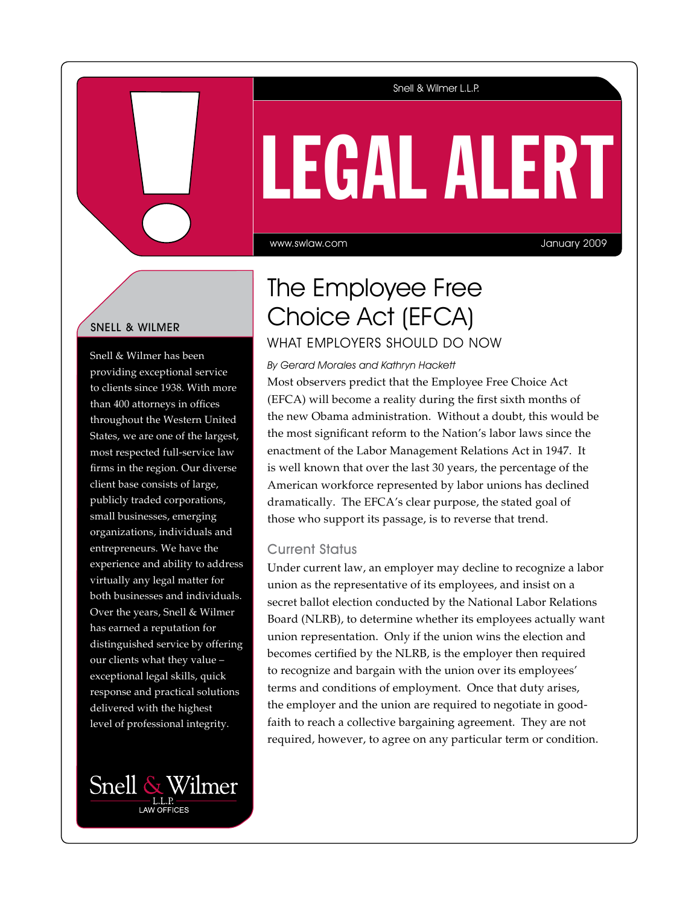### Snell & Wilmer L.L.P.

# LEGAL ALERT

www.swlaw.com

January 2009

## Snell & Wilmer

Snell & Wilmer has been providing exceptional service to clients since 1938. With more than 400 attorneys in offices throughout the Western United States, we are one of the largest, most respected full-service law firms in the region. Our diverse client base consists of large, publicly traded corporations, small businesses, emerging organizations, individuals and entrepreneurs. We have the experience and ability to address virtually any legal matter for both businesses and individuals. Over the years, Snell & Wilmer has earned a reputation for distinguished service by offering our clients what they value – exceptional legal skills, quick response and practical solutions delivered with the highest level of professional integrity.



# The Employee Free Choice Act (EFCA) What Employers Should Do Now

By Gerard Morales and Kathryn Hackett

Most observers predict that the Employee Free Choice Act (EFCA) will become a reality during the first sixth months of the new Obama administration. Without a doubt, this would be the most significant reform to the Nation's labor laws since the enactment of the Labor Management Relations Act in 1947. It is well known that over the last 30 years, the percentage of the American workforce represented by labor unions has declined dramatically. The EFCA's clear purpose, the stated goal of those who support its passage, is to reverse that trend.

### Current Status

Under current law, an employer may decline to recognize a labor union as the representative of its employees, and insist on a secret ballot election conducted by the National Labor Relations Board (NLRB), to determine whether its employees actually want union representation. Only if the union wins the election and becomes certified by the NLRB, is the employer then required to recognize and bargain with the union over its employees' terms and conditions of employment. Once that duty arises, the employer and the union are required to negotiate in goodfaith to reach a collective bargaining agreement. They are not required, however, to agree on any particular term or condition.